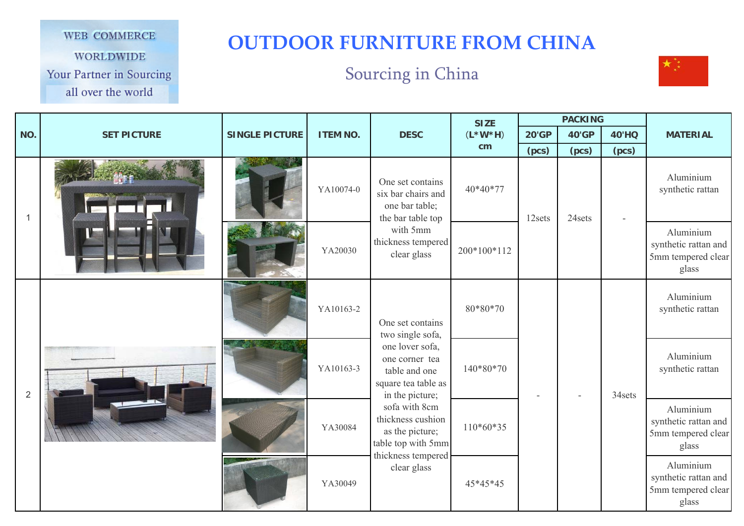## WEB COMMERCE

**WORLDWIDE** 

Your Partner in Sourcing

all over the world

## **OUTDOOR FURNITURE FROM CHINA**

## Sourcing in China



|                |                    |                       |                 |                                                                                                                                                                             | <b>SIZE</b> |              | <b>PACKING</b> |              |                                                                  |
|----------------|--------------------|-----------------------|-----------------|-----------------------------------------------------------------------------------------------------------------------------------------------------------------------------|-------------|--------------|----------------|--------------|------------------------------------------------------------------|
| NO.            | <b>SET PICTURE</b> | <b>SINGLE PICTURE</b> | <b>ITEM NO.</b> | <b>DESC</b>                                                                                                                                                                 | $(L*W*H)$   | <b>20'GP</b> | <b>40'GP</b>   | <b>40'HQ</b> | <b>MATERIAL</b>                                                  |
|                |                    |                       |                 |                                                                                                                                                                             | cm          | (pcs)        | (pcs)          | (pcs)        |                                                                  |
|                |                    |                       | YA10074-0       | One set contains<br>six bar chairs and<br>one bar table;<br>the bar table top                                                                                               | 40*40*77    | 12sets       | 24sets         |              | Aluminium<br>synthetic rattan                                    |
|                |                    |                       | YA20030         | with 5mm<br>thickness tempered<br>clear glass                                                                                                                               | 200*100*112 |              |                |              | Aluminium<br>synthetic rattan and<br>5mm tempered clear<br>glass |
|                |                    |                       | YA10163-2       | One set contains<br>two single sofa,                                                                                                                                        | 80*80*70    |              |                |              | Aluminium<br>synthetic rattan                                    |
| $\overline{2}$ |                    |                       | YA10163-3       | one lover sofa,<br>one corner tea<br>table and one<br>square tea table as<br>in the picture;<br>sofa with 8cm<br>thickness cushion<br>as the picture;<br>table top with 5mm | 140*80*70   |              |                | 34sets       | Aluminium<br>synthetic rattan                                    |
|                |                    |                       | YA30084         |                                                                                                                                                                             | $110*60*35$ |              |                |              | Aluminium<br>synthetic rattan and<br>5mm tempered clear<br>glass |
|                |                    |                       | YA30049         | thickness tempered<br>clear glass                                                                                                                                           | 45*45*45    |              |                |              | Aluminium<br>synthetic rattan and<br>5mm tempered clear<br>glass |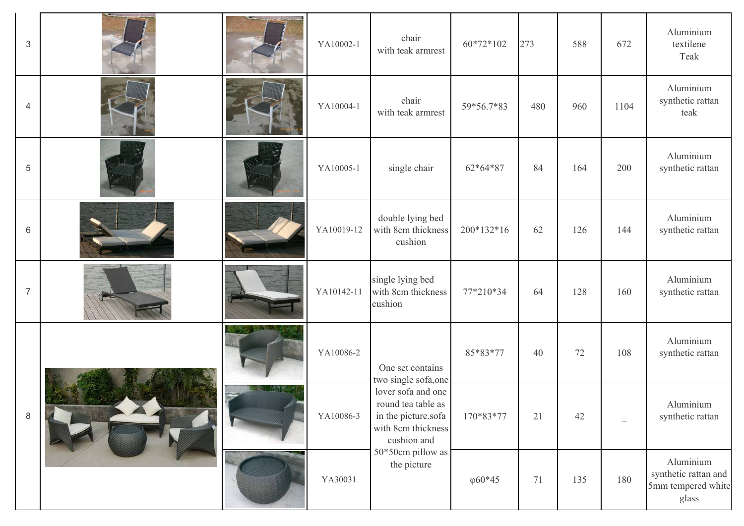| $\ensuremath{\mathsf{3}}$ |  | YA10002-1  | chair<br>with teak armrest                                                                           | 60*72*102       | 273 | 588 | 672  | Aluminium<br>textilene<br>Teak                                   |
|---------------------------|--|------------|------------------------------------------------------------------------------------------------------|-----------------|-----|-----|------|------------------------------------------------------------------|
| $\overline{4}$            |  | YA10004-1  | chair<br>with teak armrest                                                                           | 59*56.7*83      | 480 | 960 | 1104 | Aluminium<br>synthetic rattan<br>teak                            |
| 5                         |  | YA10005-1  | single chair                                                                                         | 62*64*87        | 84  | 164 | 200  | Aluminium<br>synthetic rattan                                    |
| 6                         |  | YA10019-12 | double lying bed<br>with 8cm thickness<br>cushion                                                    | 200*132*16      | 62  | 126 | 144  | Aluminium<br>synthetic rattan                                    |
| $\overline{7}$            |  | YA10142-11 | single lying bed<br>with 8cm thickness<br>cushion                                                    | 77*210*34       | 64  | 128 | 160  | Aluminium<br>synthetic rattan                                    |
|                           |  | YA10086-2  | One set contains<br>two single sofa, one                                                             | 85*83*77        | 40  | 72  | 108  | Aluminium<br>synthetic rattan                                    |
| $\,8\,$                   |  | YA10086-3  | lover sofa and one<br>round tea table as<br>in the picture.sofa<br>with 8cm thickness<br>cushion and | 170*83*77       | 21  | 42  |      | Aluminium<br>synthetic rattan                                    |
|                           |  | YA30031    | 50*50cm pillow as<br>the picture                                                                     | $\varphi 60*45$ | 71  | 135 | 180  | Aluminium<br>synthetic rattan and<br>5mm tempered white<br>glass |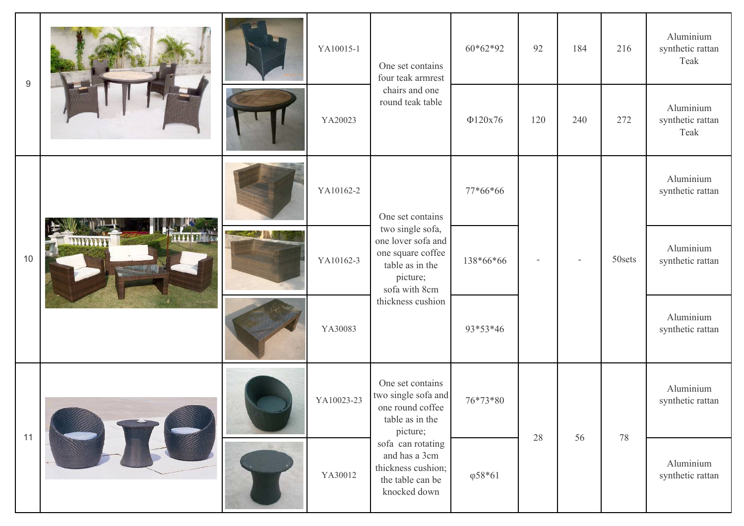| $9\,$ |  | YA10015-1  | One set contains<br>four teak armrest<br>chairs and one<br>round teak table                                                      | $60*62*92$      | 92  | 184 | 216    | Aluminium<br>synthetic rattan<br>Teak |
|-------|--|------------|----------------------------------------------------------------------------------------------------------------------------------|-----------------|-----|-----|--------|---------------------------------------|
|       |  | YA20023    |                                                                                                                                  | $\Phi$ 120x76   | 120 | 240 | 272    | Aluminium<br>synthetic rattan<br>Teak |
|       |  | YA10162-2  | One set contains                                                                                                                 | 77*66*66        |     |     |        | Aluminium<br>synthetic rattan         |
| 10    |  | YA10162-3  | two single sofa,<br>one lover sofa and<br>one square coffee<br>table as in the<br>picture;<br>sofa with 8cm<br>thickness cushion | 138*66*66       |     |     | 50sets | Aluminium<br>synthetic rattan         |
|       |  | YA30083    |                                                                                                                                  | 93*53*46        |     |     |        | Aluminium<br>synthetic rattan         |
|       |  | YA10023-23 | One set contains<br>two single sofa and<br>one round coffee<br>table as in the<br>picture;                                       | 76*73*80        | 28  | 56  | 78     | Aluminium<br>synthetic rattan         |
| 11    |  | YA30012    | sofa can rotating<br>and has a 3cm<br>thickness cushion;<br>the table can be<br>knocked down                                     | $\varphi 58*61$ |     |     |        | Aluminium<br>synthetic rattan         |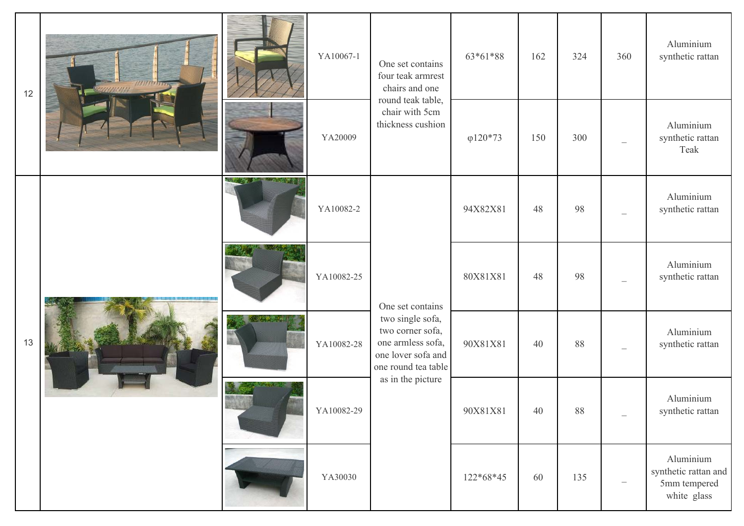| 12 |  |             | YA10067-1  | One set contains<br>four teak armrest<br>chairs and one                                                                                         | 63*61*88         | 162 | 324 | 360                      | Aluminium<br>synthetic rattan                                    |
|----|--|-------------|------------|-------------------------------------------------------------------------------------------------------------------------------------------------|------------------|-----|-----|--------------------------|------------------------------------------------------------------|
|    |  |             | YA20009    | round teak table,<br>chair with 5cm<br>thickness cushion                                                                                        | $\varphi$ 120*73 | 150 | 300 |                          | Aluminium<br>synthetic rattan<br>Teak                            |
|    |  | <b>SAME</b> | YA10082-2  |                                                                                                                                                 | 94X82X81         | 48  | 98  |                          | Aluminium<br>synthetic rattan                                    |
|    |  |             | YA10082-25 | One set contains<br>two single sofa,<br>two corner sofa,<br>one armless sofa,<br>one lover sofa and<br>one round tea table<br>as in the picture | 80X81X81         | 48  | 98  |                          | Aluminium<br>synthetic rattan                                    |
| 13 |  |             | YA10082-28 |                                                                                                                                                 | 90X81X81         | 40  | 88  |                          | Aluminium<br>synthetic rattan                                    |
|    |  |             | YA10082-29 |                                                                                                                                                 | 90X81X81         | 40  | 88  | $\overline{\phantom{0}}$ | Aluminium<br>synthetic rattan                                    |
|    |  |             | YA30030    |                                                                                                                                                 | 122*68*45        | 60  | 135 |                          | Aluminium<br>synthetic rattan and<br>5mm tempered<br>white glass |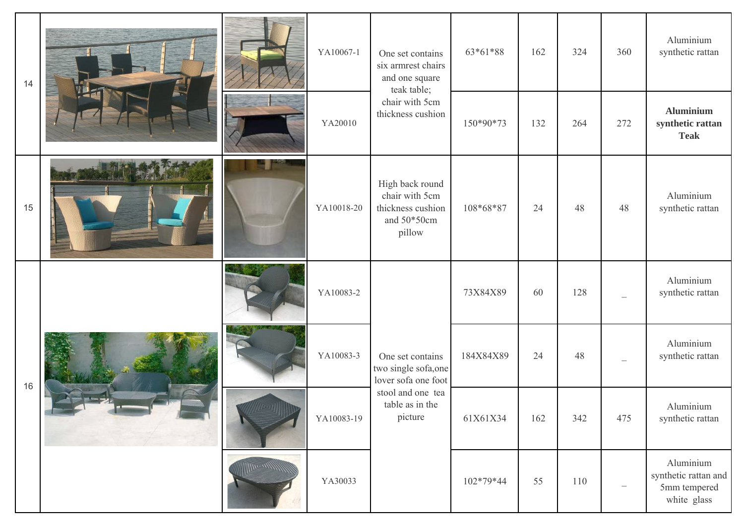| 14 |  | YA10067-1  | One set contains<br>six armrest chairs<br>and one square<br>teak table;                                            | 63*61*88  | 162 | 324 | 360                      | Aluminium<br>synthetic rattan                                    |
|----|--|------------|--------------------------------------------------------------------------------------------------------------------|-----------|-----|-----|--------------------------|------------------------------------------------------------------|
|    |  | YA20010    | chair with 5cm<br>thickness cushion                                                                                | 150*90*73 | 132 | 264 | 272                      | <b>Aluminium</b><br>synthetic rattan<br><b>Teak</b>              |
| 15 |  | YA10018-20 | High back round<br>chair with 5cm<br>thickness cushion<br>and 50*50cm<br>pillow                                    | 108*68*87 | 24  | 48  | 48                       | Aluminium<br>synthetic rattan                                    |
|    |  | YA10083-2  |                                                                                                                    | 73X84X89  | 60  | 128 |                          | Aluminium<br>synthetic rattan                                    |
| 16 |  | YA10083-3  | One set contains<br>two single sofa, one<br>lover sofa one foot<br>stool and one tea<br>table as in the<br>picture | 184X84X89 | 24  | 48  |                          | Aluminium<br>synthetic rattan                                    |
|    |  | YA10083-19 |                                                                                                                    | 61X61X34  | 162 | 342 | 475                      | Aluminium<br>synthetic rattan                                    |
|    |  | YA30033    |                                                                                                                    | 102*79*44 | 55  | 110 | $\overline{\phantom{0}}$ | Aluminium<br>synthetic rattan and<br>5mm tempered<br>white glass |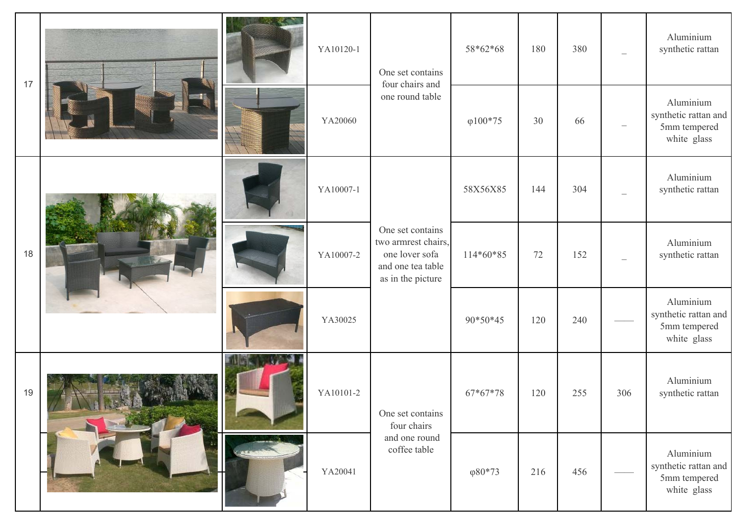| 17 |  | YA10120-1 | One set contains<br>four chairs and                                                                 | 58*62*68         | 180 | 380 |     | Aluminium<br>synthetic rattan                                    |
|----|--|-----------|-----------------------------------------------------------------------------------------------------|------------------|-----|-----|-----|------------------------------------------------------------------|
|    |  | YA20060   | one round table                                                                                     | $\varphi 100*75$ | 30  | 66  |     | Aluminium<br>synthetic rattan and<br>5mm tempered<br>white glass |
|    |  | YA10007-1 |                                                                                                     | 58X56X85         | 144 | 304 |     | Aluminium<br>synthetic rattan                                    |
| 18 |  | YA10007-2 | One set contains<br>two armrest chairs,<br>one lover sofa<br>and one tea table<br>as in the picture | 114*60*85        | 72  | 152 |     | Aluminium<br>synthetic rattan                                    |
|    |  | YA30025   |                                                                                                     | 90*50*45         | 120 | 240 |     | Aluminium<br>synthetic rattan and<br>5mm tempered<br>white glass |
| 19 |  | YA10101-2 | One set contains<br>four chairs                                                                     | $67*67*78$       | 120 | 255 | 306 | Aluminium<br>synthetic rattan                                    |
|    |  | YA20041   | and one round<br>coffee table                                                                       | $\varphi 80*73$  | 216 | 456 |     | Aluminium<br>synthetic rattan and<br>5mm tempered<br>white glass |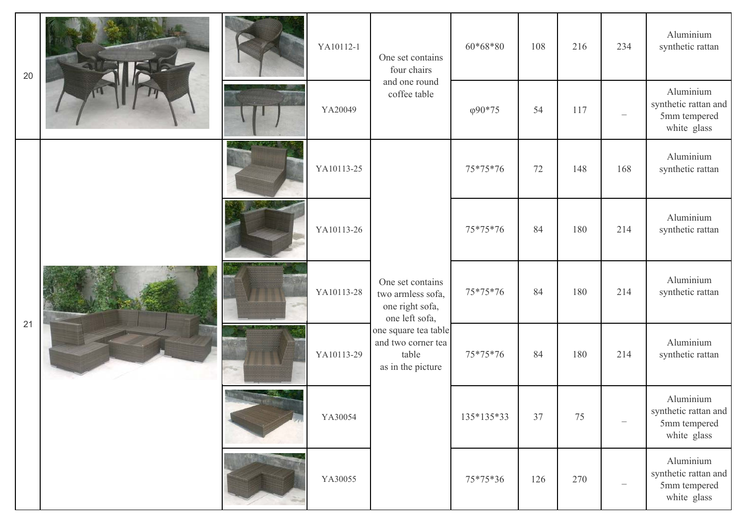| 20 |  |          | YA10112-1  | One set contains<br>four chairs                                                                                                                        | $60*68*80$      | 108 | 216 | 234 | Aluminium<br>synthetic rattan                                    |
|----|--|----------|------------|--------------------------------------------------------------------------------------------------------------------------------------------------------|-----------------|-----|-----|-----|------------------------------------------------------------------|
|    |  |          | YA20049    | and one round<br>coffee table                                                                                                                          | $\varphi$ 90*75 | 54  | 117 |     | Aluminium<br>synthetic rattan and<br>5mm tempered<br>white glass |
|    |  |          | YA10113-25 | One set contains<br>two armless sofa,<br>one right sofa,<br>one left sofa,<br>one square tea table<br>and two corner tea<br>table<br>as in the picture | 75*75*76        | 72  | 148 | 168 | Aluminium<br>synthetic rattan                                    |
|    |  |          | YA10113-26 |                                                                                                                                                        | 75*75*76        | 84  | 180 | 214 | Aluminium<br>synthetic rattan                                    |
|    |  | الأقالية | YA10113-28 |                                                                                                                                                        | 75*75*76        | 84  | 180 | 214 | Aluminium<br>synthetic rattan                                    |
| 21 |  |          | YA10113-29 |                                                                                                                                                        | 75*75*76        | 84  | 180 | 214 | Aluminium<br>synthetic rattan                                    |
|    |  |          | YA30054    |                                                                                                                                                        | 135*135*33      | 37  | 75  |     | Aluminium<br>synthetic rattan and<br>5mm tempered<br>white glass |
|    |  |          | YA30055    |                                                                                                                                                        | 75*75*36        | 126 | 270 |     | Aluminium<br>synthetic rattan and<br>5mm tempered<br>white glass |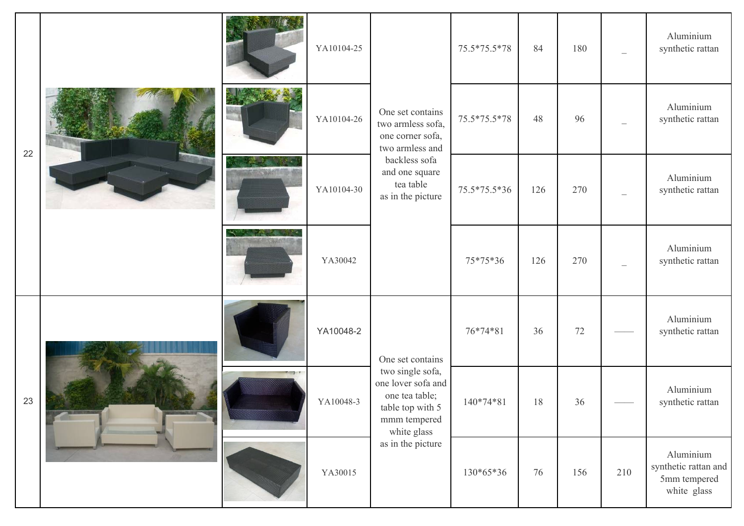|    |  | YA10104-25 |                                                                                                                                                   | 75.5*75.5*78 | 84  | 180 |     | Aluminium<br>synthetic rattan                                    |
|----|--|------------|---------------------------------------------------------------------------------------------------------------------------------------------------|--------------|-----|-----|-----|------------------------------------------------------------------|
| 22 |  | YA10104-26 | One set contains<br>two armless sofa,<br>one corner sofa,<br>two armless and<br>backless sofa<br>and one square<br>tea table<br>as in the picture | 75.5*75.5*78 | 48  | 96  |     | Aluminium<br>synthetic rattan                                    |
|    |  | YA10104-30 |                                                                                                                                                   | 75.5*75.5*36 | 126 | 270 |     | Aluminium<br>synthetic rattan                                    |
|    |  | YA30042    |                                                                                                                                                   | 75*75*36     | 126 | 270 |     | Aluminium<br>synthetic rattan                                    |
|    |  | YA10048-2  | One set contains                                                                                                                                  | 76*74*81     | 36  | 72  |     | Aluminium<br>synthetic rattan                                    |
| 23 |  | YA10048-3  | two single sofa,<br>one lover sofa and<br>one tea table;<br>table top with 5<br>mmm tempered<br>white glass<br>as in the picture                  | 140*74*81    | 18  | 36  |     | Aluminium<br>synthetic rattan                                    |
|    |  | YA30015    |                                                                                                                                                   | 130*65*36    | 76  | 156 | 210 | Aluminium<br>synthetic rattan and<br>5mm tempered<br>white glass |